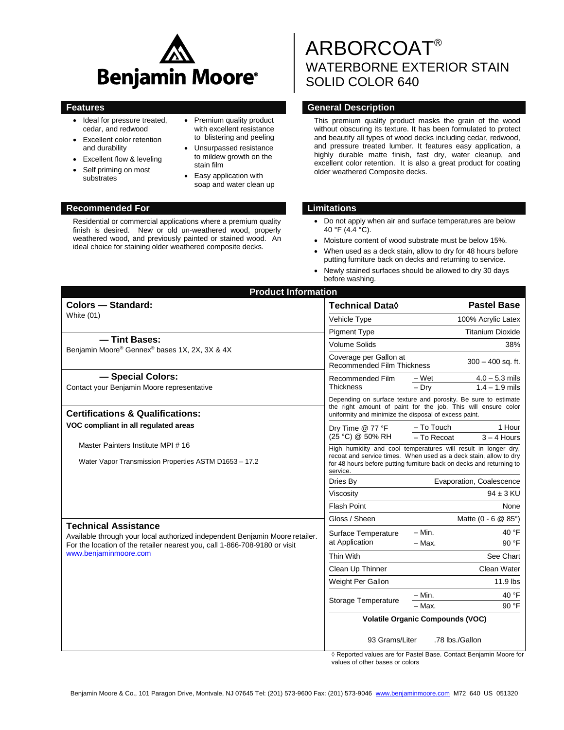

- Ideal for pressure treated, cedar, and redwood
- Excellent color retention and durability
- Excellent flow & leveling
- Self priming on most substrates
- 

#### with excellent resistance to blistering and peeling Unsurpassed resistance

• Premium quality product

- to mildew growth on the stain film • Easy application with
- soap and water clean up

# **Recommended For Limitations**

Residential or commercial applications where a premium quality finish is desired. New or old un-weathered wood, properly weathered wood, and previously painted or stained wood. An ideal choice for staining older weathered composite decks.

# ARBORCOAT® WATERBORNE EXTERIOR STAIN SOLID COLOR 640

# **Features Features General Description**

This premium quality product masks the grain of the wood without obscuring its texture. It has been formulated to protect and beautify all types of wood decks including cedar, redwood, and pressure treated lumber. It features easy application, a highly durable matte finish, fast dry, water cleanup, and excellent color retention. It is also a great product for coating older weathered Composite decks.

- Do not apply when air and surface temperatures are below 40 °F (4.4 °C).
- Moisture content of wood substrate must be below 15%.
- When used as a deck stain, allow to dry for 48 hours before putting furniture back on decks and returning to service.
- Newly stained surfaces should be allowed to dry 30 days before washing.

| <b>Product Information</b>                                                                                                                                                                                         |                                                                                                                                                                                                                         |                                                            |  |
|--------------------------------------------------------------------------------------------------------------------------------------------------------------------------------------------------------------------|-------------------------------------------------------------------------------------------------------------------------------------------------------------------------------------------------------------------------|------------------------------------------------------------|--|
| <b>Colors - Standard:</b>                                                                                                                                                                                          | <b>Technical Data</b> ♦                                                                                                                                                                                                 | <b>Pastel Base</b>                                         |  |
| White (01)<br>- Tint Bases:<br>Benjamin Moore® Gennex® bases 1X, 2X, 3X & 4X                                                                                                                                       | Vehicle Type                                                                                                                                                                                                            | 100% Acrylic Latex                                         |  |
|                                                                                                                                                                                                                    | <b>Pigment Type</b>                                                                                                                                                                                                     | <b>Titanium Dioxide</b>                                    |  |
|                                                                                                                                                                                                                    | <b>Volume Solids</b>                                                                                                                                                                                                    | 38%                                                        |  |
|                                                                                                                                                                                                                    | Coverage per Gallon at<br><b>Recommended Film Thickness</b>                                                                                                                                                             | $300 - 400$ sq. ft.                                        |  |
| - Special Colors:<br>Contact your Benjamin Moore representative                                                                                                                                                    | Recommended Film<br><b>Thickness</b>                                                                                                                                                                                    | $-Wet$<br>$4.0 - 5.3$ mils<br>$1.4 - 1.9$ mils<br>$-$ Drv  |  |
| <b>Certifications &amp; Qualifications:</b>                                                                                                                                                                        | Depending on surface texture and porosity. Be sure to estimate<br>the right amount of paint for the job. This will ensure color<br>uniformity and minimize the disposal of excess paint.                                |                                                            |  |
| VOC compliant in all regulated areas                                                                                                                                                                               | Dry Time @ 77 °F<br>(25 °C) @ 50% RH                                                                                                                                                                                    | - To Touch<br>1 Hour<br>$3 - 4$ Hours<br>- To Recoat       |  |
| Master Painters Institute MPI # 16<br>Water Vapor Transmission Properties ASTM D1653 - 17.2                                                                                                                        | High humidity and cool temperatures will result in longer dry,<br>recoat and service times. When used as a deck stain, allow to dry<br>for 48 hours before putting furniture back on decks and returning to<br>service. |                                                            |  |
| <b>Technical Assistance</b><br>Available through your local authorized independent Benjamin Moore retailer.<br>For the location of the retailer nearest you, call 1-866-708-9180 or visit<br>www.beniaminmoore.com | Dries By                                                                                                                                                                                                                | Evaporation, Coalescence                                   |  |
|                                                                                                                                                                                                                    | Viscosity                                                                                                                                                                                                               | $94 \pm 3$ KU                                              |  |
|                                                                                                                                                                                                                    | <b>Flash Point</b>                                                                                                                                                                                                      | None                                                       |  |
|                                                                                                                                                                                                                    | Gloss / Sheen                                                                                                                                                                                                           | Matte (0 - 6 @ 85°)                                        |  |
|                                                                                                                                                                                                                    | Surface Temperature<br>at Application                                                                                                                                                                                   | 40 °F<br>$-$ Min.<br>$-$ Max.<br>90 °F                     |  |
|                                                                                                                                                                                                                    | Thin With                                                                                                                                                                                                               | See Chart                                                  |  |
|                                                                                                                                                                                                                    | Clean Up Thinner                                                                                                                                                                                                        | Clean Water                                                |  |
|                                                                                                                                                                                                                    | Weight Per Gallon                                                                                                                                                                                                       | $11.9$ lbs                                                 |  |
|                                                                                                                                                                                                                    | Storage Temperature                                                                                                                                                                                                     | 40 °F<br>$-$ Min.                                          |  |
|                                                                                                                                                                                                                    |                                                                                                                                                                                                                         | $-$ Max.<br>90 °F                                          |  |
|                                                                                                                                                                                                                    | 93 Grams/Liter                                                                                                                                                                                                          | <b>Volatile Organic Compounds (VOC)</b><br>.78 lbs./Gallon |  |

◊ Reported values are for Pastel Base. Contact Benjamin Moore for values of other bases or colors